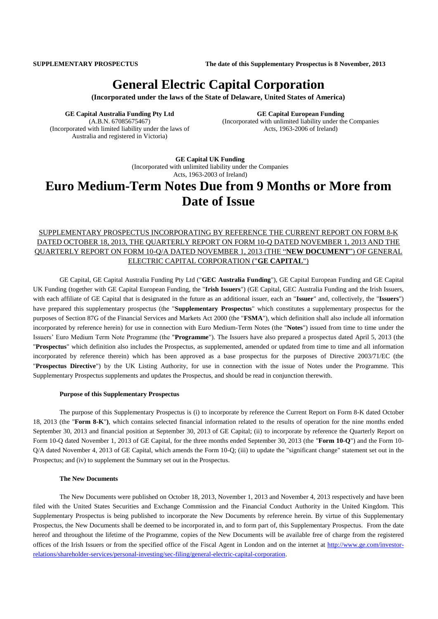**SUPPLEMENTARY PROSPECTUS The date of this Supplementary Prospectus is 8 November, 2013**

# **General Electric Capital Corporation**

**(Incorporated under the laws of the State of Delaware, United States of America)**

**GE Capital Australia Funding Pty Ltd** (A.B.N. 67085675467) (Incorporated with limited liability under the laws of Australia and registered in Victoria)

**GE Capital European Funding** (Incorporated with unlimited liability under the Companies Acts, 1963-2006 of Ireland)

**GE Capital UK Funding** (Incorporated with unlimited liability under the Companies Acts, 1963-2003 of Ireland)

# **Euro Medium-Term Notes Due from 9 Months or More from Date of Issue**

## SUPPLEMENTARY PROSPECTUS INCORPORATING BY REFERENCE THE CURRENT REPORT ON FORM 8-K DATED OCTOBER 18, 2013, THE QUARTERLY REPORT ON FORM 10-Q DATED NOVEMBER 1, 2013 AND THE QUARTERLY REPORT ON FORM 10-Q/A DATED NOVEMBER 1, 2013 (THE "**NEW DOCUMENT**") OF GENERAL ELECTRIC CAPITAL CORPORATION ("**GE CAPITAL**")

GE Capital, GE Capital Australia Funding Pty Ltd ("**GEC Australia Funding**"), GE Capital European Funding and GE Capital UK Funding (together with GE Capital European Funding, the "**Irish Issuers**") (GE Capital, GEC Australia Funding and the Irish Issuers, with each affiliate of GE Capital that is designated in the future as an additional issuer, each an "**Issuer**" and, collectively, the "**Issuers**") have prepared this supplementary prospectus (the "**Supplementary Prospectus**" which constitutes a supplementary prospectus for the purposes of Section 87G of the Financial Services and Markets Act 2000 (the "**FSMA**"), which definition shall also include all information incorporated by reference herein) for use in connection with Euro Medium-Term Notes (the "**Notes**") issued from time to time under the Issuers' Euro Medium Term Note Programme (the "**Programme**"). The Issuers have also prepared a prospectus dated April 5, 2013 (the "**Prospectus**" which definition also includes the Prospectus, as supplemented, amended or updated from time to time and all information incorporated by reference therein) which has been approved as a base prospectus for the purposes of Directive 2003/71/EC (the "**Prospectus Directive**") by the UK Listing Authority, for use in connection with the issue of Notes under the Programme. This Supplementary Prospectus supplements and updates the Prospectus, and should be read in conjunction therewith.

#### **Purpose of this Supplementary Prospectus**

The purpose of this Supplementary Prospectus is (i) to incorporate by reference the Current Report on Form 8-K dated October 18, 2013 (the "**Form 8-K**"**)**, which contains selected financial information related to the results of operation for the nine months ended September 30, 2013 and financial position at September 30, 2013 of GE Capital; (ii) to incorporate by reference the Quarterly Report on Form 10-Q dated November 1, 2013 of GE Capital, for the three months ended September 30, 2013 (the "**Form 10-Q**") and the Form 10- Q/A dated November 4, 2013 of GE Capital, which amends the Form 10-Q; (iii) to update the "significant change" statement set out in the Prospectus; and (iv) to supplement the Summary set out in the Prospectus.

#### **The New Documents**

The New Documents were published on October 18, 2013, November 1, 2013 and November 4, 2013 respectively and have been filed with the United States Securities and Exchange Commission and the Financial Conduct Authority in the United Kingdom. This Supplementary Prospectus is being published to incorporate the New Documents by reference herein. By virtue of this Supplementary Prospectus, the New Documents shall be deemed to be incorporated in, and to form part of, this Supplementary Prospectus. From the date hereof and throughout the lifetime of the Programme, copies of the New Documents will be available free of charge from the registered offices of the Irish Issuers or from the specified office of the Fiscal Agent in London and on the internet at [http://www.ge.com/investor](http://www.ge.com/investor-relations/shareholder-services/personal-investing/sec-filing/general-electric-capital-corporation)[relations/shareholder-services/personal-investing/sec-filing/general-electric-capital-corporation.](http://www.ge.com/investor-relations/shareholder-services/personal-investing/sec-filing/general-electric-capital-corporation)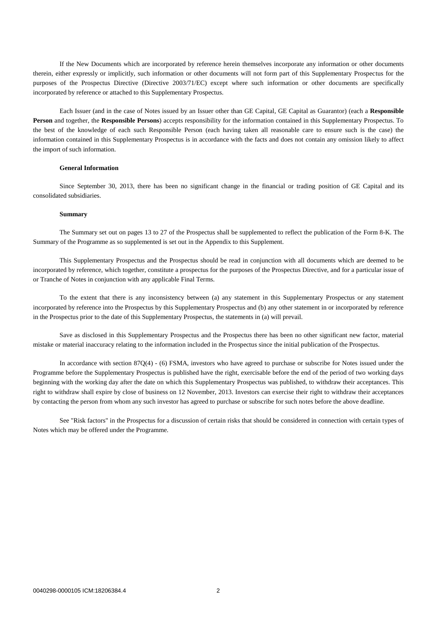If the New Documents which are incorporated by reference herein themselves incorporate any information or other documents therein, either expressly or implicitly, such information or other documents will not form part of this Supplementary Prospectus for the purposes of the Prospectus Directive (Directive 2003/71/EC) except where such information or other documents are specifically incorporated by reference or attached to this Supplementary Prospectus.

Each Issuer (and in the case of Notes issued by an Issuer other than GE Capital, GE Capital as Guarantor) (each a **Responsible Person** and together, the **Responsible Persons**) accepts responsibility for the information contained in this Supplementary Prospectus. To the best of the knowledge of each such Responsible Person (each having taken all reasonable care to ensure such is the case) the information contained in this Supplementary Prospectus is in accordance with the facts and does not contain any omission likely to affect the import of such information.

#### **General Information**

Since September 30, 2013, there has been no significant change in the financial or trading position of GE Capital and its consolidated subsidiaries.

#### **Summary**

The Summary set out on pages 13 to 27 of the Prospectus shall be supplemented to reflect the publication of the Form 8-K. The Summary of the Programme as so supplemented is set out in the Appendix to this Supplement.

This Supplementary Prospectus and the Prospectus should be read in conjunction with all documents which are deemed to be incorporated by reference, which together, constitute a prospectus for the purposes of the Prospectus Directive, and for a particular issue of or Tranche of Notes in conjunction with any applicable Final Terms.

To the extent that there is any inconsistency between (a) any statement in this Supplementary Prospectus or any statement incorporated by reference into the Prospectus by this Supplementary Prospectus and (b) any other statement in or incorporated by reference in the Prospectus prior to the date of this Supplementary Prospectus, the statements in (a) will prevail.

Save as disclosed in this Supplementary Prospectus and the Prospectus there has been no other significant new factor, material mistake or material inaccuracy relating to the information included in the Prospectus since the initial publication of the Prospectus.

In accordance with section 87Q(4) - (6) FSMA, investors who have agreed to purchase or subscribe for Notes issued under the Programme before the Supplementary Prospectus is published have the right, exercisable before the end of the period of two working days beginning with the working day after the date on which this Supplementary Prospectus was published, to withdraw their acceptances. This right to withdraw shall expire by close of business on 12 November, 2013. Investors can exercise their right to withdraw their acceptances by contacting the person from whom any such investor has agreed to purchase or subscribe for such notes before the above deadline.

See "Risk factors" in the Prospectus for a discussion of certain risks that should be considered in connection with certain types of Notes which may be offered under the Programme.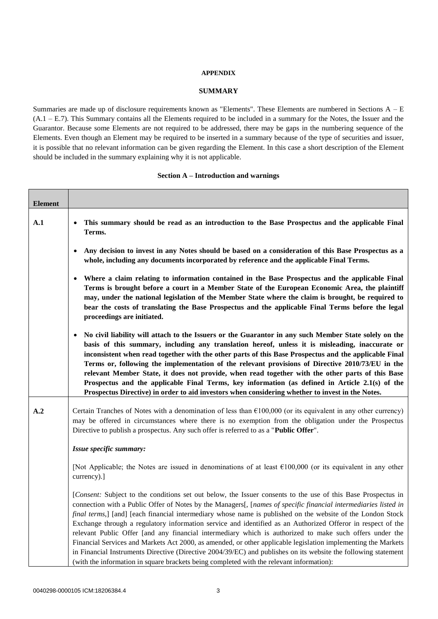### **APPENDIX**

### **SUMMARY**

Summaries are made up of disclosure requirements known as "Elements". These Elements are numbered in Sections A – E (A.1 – E.7). This Summary contains all the Elements required to be included in a summary for the Notes, the Issuer and the Guarantor. Because some Elements are not required to be addressed, there may be gaps in the numbering sequence of the Elements. Even though an Element may be required to be inserted in a summary because of the type of securities and issuer, it is possible that no relevant information can be given regarding the Element. In this case a short description of the Element should be included in the summary explaining why it is not applicable.

#### **Section A – Introduction and warnings**

| <b>Element</b> |                                                                                                                                                                                                                                                                                                                                                                                                                                                                                                                                                                                                                                                                                                                                                                                                                                                                                                         |
|----------------|---------------------------------------------------------------------------------------------------------------------------------------------------------------------------------------------------------------------------------------------------------------------------------------------------------------------------------------------------------------------------------------------------------------------------------------------------------------------------------------------------------------------------------------------------------------------------------------------------------------------------------------------------------------------------------------------------------------------------------------------------------------------------------------------------------------------------------------------------------------------------------------------------------|
| $\mathbf{A.1}$ | This summary should be read as an introduction to the Base Prospectus and the applicable Final<br>Terms.                                                                                                                                                                                                                                                                                                                                                                                                                                                                                                                                                                                                                                                                                                                                                                                                |
|                | Any decision to invest in any Notes should be based on a consideration of this Base Prospectus as a<br>whole, including any documents incorporated by reference and the applicable Final Terms.                                                                                                                                                                                                                                                                                                                                                                                                                                                                                                                                                                                                                                                                                                         |
|                | Where a claim relating to information contained in the Base Prospectus and the applicable Final<br>Terms is brought before a court in a Member State of the European Economic Area, the plaintiff<br>may, under the national legislation of the Member State where the claim is brought, be required to<br>bear the costs of translating the Base Prospectus and the applicable Final Terms before the legal<br>proceedings are initiated.                                                                                                                                                                                                                                                                                                                                                                                                                                                              |
|                | No civil liability will attach to the Issuers or the Guarantor in any such Member State solely on the<br>$\bullet$<br>basis of this summary, including any translation hereof, unless it is misleading, inaccurate or<br>inconsistent when read together with the other parts of this Base Prospectus and the applicable Final<br>Terms or, following the implementation of the relevant provisions of Directive 2010/73/EU in the<br>relevant Member State, it does not provide, when read together with the other parts of this Base<br>Prospectus and the applicable Final Terms, key information (as defined in Article 2.1(s) of the<br>Prospectus Directive) in order to aid investors when considering whether to invest in the Notes.                                                                                                                                                           |
| A.2            | Certain Tranches of Notes with a denomination of less than $£100,000$ (or its equivalent in any other currency)<br>may be offered in circumstances where there is no exemption from the obligation under the Prospectus<br>Directive to publish a prospectus. Any such offer is referred to as a " <b>Public Offer</b> ".                                                                                                                                                                                                                                                                                                                                                                                                                                                                                                                                                                               |
|                | Issue specific summary:                                                                                                                                                                                                                                                                                                                                                                                                                                                                                                                                                                                                                                                                                                                                                                                                                                                                                 |
|                | [Not Applicable; the Notes are issued in denominations of at least $\epsilon$ 100,000 (or its equivalent in any other<br>currency).]                                                                                                                                                                                                                                                                                                                                                                                                                                                                                                                                                                                                                                                                                                                                                                    |
|                | [Consent: Subject to the conditions set out below, the Issuer consents to the use of this Base Prospectus in<br>connection with a Public Offer of Notes by the Managers[, [names of specific financial intermediaries listed in<br>final terms,] [and] [each financial intermediary whose name is published on the website of the London Stock<br>Exchange through a regulatory information service and identified as an Authorized Offeror in respect of the<br>relevant Public Offer [and any financial intermediary which is authorized to make such offers under the<br>Financial Services and Markets Act 2000, as amended, or other applicable legislation implementing the Markets<br>in Financial Instruments Directive (Directive 2004/39/EC) and publishes on its website the following statement<br>(with the information in square brackets being completed with the relevant information): |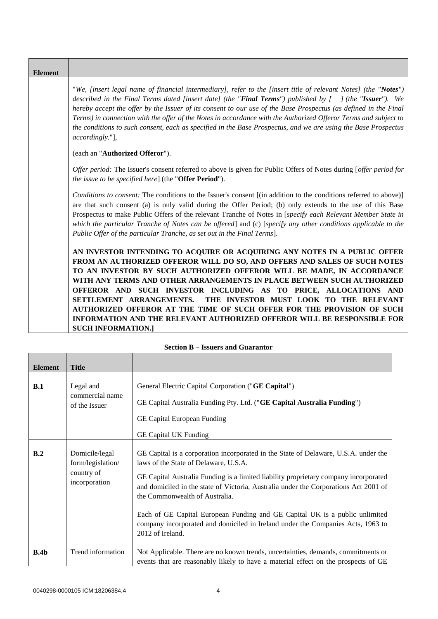| <b>Element</b> |                                                                                                                                                                                                                                                                                                                                                                                                                                                                                                                                                                                                           |
|----------------|-----------------------------------------------------------------------------------------------------------------------------------------------------------------------------------------------------------------------------------------------------------------------------------------------------------------------------------------------------------------------------------------------------------------------------------------------------------------------------------------------------------------------------------------------------------------------------------------------------------|
|                | "We, [insert legal name of financial intermediary], refer to the [insert title of relevant Notes] (the "Notes")<br>described in the Final Terms dated [insert date] (the "Final Terms") published by $\int$ (the "Issuer"). We<br>hereby accept the offer by the Issuer of its consent to our use of the Base Prospectus (as defined in the Final<br>Terms) in connection with the offer of the Notes in accordance with the Authorized Offeror Terms and subject to<br>the conditions to such consent, each as specified in the Base Prospectus, and we are using the Base Prospectus<br>accordingly."], |
|                | (each an "Authorized Offeror").                                                                                                                                                                                                                                                                                                                                                                                                                                                                                                                                                                           |
|                | Offer period: The Issuer's consent referred to above is given for Public Offers of Notes during [offer period for<br><i>the issue to be specified here</i> ] (the " <b>Offer Period</b> ").                                                                                                                                                                                                                                                                                                                                                                                                               |
|                | Conditions to consent: The conditions to the Issuer's consent [(in addition to the conditions referred to above)]<br>are that such consent (a) is only valid during the Offer Period; (b) only extends to the use of this Base<br>Prospectus to make Public Offers of the relevant Tranche of Notes in [specify each Relevant Member State in<br>which the particular Tranche of Notes can be offered and (c) [specify any other conditions applicable to the<br>Public Offer of the particular Tranche, as set out in the Final Terms].                                                                  |
|                | AN INVESTOR INTENDING TO ACQUIRE OR ACQUIRING ANY NOTES IN A PUBLIC OFFER                                                                                                                                                                                                                                                                                                                                                                                                                                                                                                                                 |
|                | FROM AN AUTHORIZED OFFEROR WILL DO SO, AND OFFERS AND SALES OF SUCH NOTES<br>TO AN INVESTOR BY SUCH AUTHORIZED OFFEROR WILL BE MADE, IN ACCORDANCE<br>WITH ANY TERMS AND OTHER ARRANGEMENTS IN PLACE BETWEEN SUCH AUTHORIZED                                                                                                                                                                                                                                                                                                                                                                              |
|                | OFFEROR AND SUCH INVESTOR INCLUDING AS TO PRICE, ALLOCATIONS AND                                                                                                                                                                                                                                                                                                                                                                                                                                                                                                                                          |
|                | THE INVESTOR MUST LOOK TO THE RELEVANT<br>SETTLEMENT ARRANGEMENTS.<br>AUTHORIZED OFFEROR AT THE TIME OF SUCH OFFER FOR THE PROVISION OF SUCH                                                                                                                                                                                                                                                                                                                                                                                                                                                              |
|                | <b>INFORMATION AND THE RELEVANT AUTHORIZED OFFEROR WILL BE RESPONSIBLE FOR</b>                                                                                                                                                                                                                                                                                                                                                                                                                                                                                                                            |
|                | <b>SUCH INFORMATION.1</b>                                                                                                                                                                                                                                                                                                                                                                                                                                                                                                                                                                                 |

<span id="page-3-0"></span>

| <b>Element</b> | <b>Title</b>                        |                                                                                                                                                                                                                |
|----------------|-------------------------------------|----------------------------------------------------------------------------------------------------------------------------------------------------------------------------------------------------------------|
|                |                                     |                                                                                                                                                                                                                |
| B.1            | Legal and                           | General Electric Capital Corporation ("GE Capital")                                                                                                                                                            |
|                | commercial name<br>of the Issuer    | GE Capital Australia Funding Pty. Ltd. ("GE Capital Australia Funding")                                                                                                                                        |
|                |                                     | GE Capital European Funding                                                                                                                                                                                    |
|                |                                     | <b>GE Capital UK Funding</b>                                                                                                                                                                                   |
| B.2            | Domicile/legal<br>form/legislation/ | GE Capital is a corporation incorporated in the State of Delaware, U.S.A. under the<br>laws of the State of Delaware, U.S.A.                                                                                   |
|                | country of<br>incorporation         | GE Capital Australia Funding is a limited liability proprietary company incorporated<br>and domiciled in the state of Victoria, Australia under the Corporations Act 2001 of<br>the Commonwealth of Australia. |
|                |                                     | Each of GE Capital European Funding and GE Capital UK is a public unlimited<br>company incorporated and domiciled in Ireland under the Companies Acts, 1963 to<br>2012 of Ireland.                             |
| B.4b           | Trend information                   | Not Applicable. There are no known trends, uncertainties, demands, commitments or<br>events that are reasonably likely to have a material effect on the prospects of GE                                        |

|  |  | <b>Section B – Issuers and Guarantor</b> |
|--|--|------------------------------------------|
|  |  |                                          |

÷.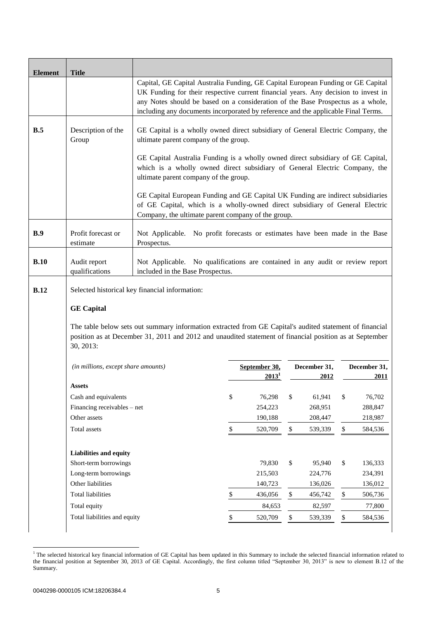| <b>Element</b> | <b>Title</b>                                                                                                                                                                                                                    |                                                                                                                                                                                                                                                                                                                                                |                                                                                                                          |                                    |      |                      |      |                             |
|----------------|---------------------------------------------------------------------------------------------------------------------------------------------------------------------------------------------------------------------------------|------------------------------------------------------------------------------------------------------------------------------------------------------------------------------------------------------------------------------------------------------------------------------------------------------------------------------------------------|--------------------------------------------------------------------------------------------------------------------------|------------------------------------|------|----------------------|------|-----------------------------|
|                |                                                                                                                                                                                                                                 | Capital, GE Capital Australia Funding, GE Capital European Funding or GE Capital<br>UK Funding for their respective current financial years. Any decision to invest in<br>any Notes should be based on a consideration of the Base Prospectus as a whole,<br>including any documents incorporated by reference and the applicable Final Terms. |                                                                                                                          |                                    |      |                      |      |                             |
| B.5            | Description of the<br>Group                                                                                                                                                                                                     |                                                                                                                                                                                                                                                                                                                                                | GE Capital is a wholly owned direct subsidiary of General Electric Company, the<br>ultimate parent company of the group. |                                    |      |                      |      |                             |
|                |                                                                                                                                                                                                                                 | GE Capital Australia Funding is a wholly owned direct subsidiary of GE Capital,<br>which is a wholly owned direct subsidiary of General Electric Company, the<br>ultimate parent company of the group.                                                                                                                                         |                                                                                                                          |                                    |      |                      |      |                             |
|                |                                                                                                                                                                                                                                 | GE Capital European Funding and GE Capital UK Funding are indirect subsidiaries<br>of GE Capital, which is a wholly-owned direct subsidiary of General Electric<br>Company, the ultimate parent company of the group.                                                                                                                          |                                                                                                                          |                                    |      |                      |      |                             |
| B.9            | Profit forecast or<br>estimate                                                                                                                                                                                                  | Prospectus.                                                                                                                                                                                                                                                                                                                                    | Not Applicable. No profit forecasts or estimates have been made in the Base                                              |                                    |      |                      |      |                             |
| B.10           | Audit report<br>qualifications                                                                                                                                                                                                  | Not Applicable. No qualifications are contained in any audit or review report<br>included in the Base Prospectus.                                                                                                                                                                                                                              |                                                                                                                          |                                    |      |                      |      |                             |
| <b>B.12</b>    | Selected historical key financial information:                                                                                                                                                                                  |                                                                                                                                                                                                                                                                                                                                                |                                                                                                                          |                                    |      |                      |      |                             |
|                | <b>GE Capital</b>                                                                                                                                                                                                               |                                                                                                                                                                                                                                                                                                                                                |                                                                                                                          |                                    |      |                      |      |                             |
|                | The table below sets out summary information extracted from GE Capital's audited statement of financial<br>position as at December 31, 2011 and 2012 and unaudited statement of financial position as at September<br>30, 2013: |                                                                                                                                                                                                                                                                                                                                                |                                                                                                                          |                                    |      |                      |      |                             |
|                | (in millions, except share amounts)                                                                                                                                                                                             |                                                                                                                                                                                                                                                                                                                                                |                                                                                                                          | September 30,<br>2013 <sup>1</sup> |      | December 31,<br>2012 |      | December 31,<br><b>2011</b> |
|                | Assets                                                                                                                                                                                                                          |                                                                                                                                                                                                                                                                                                                                                |                                                                                                                          |                                    |      |                      |      |                             |
|                | Cash and equivalents                                                                                                                                                                                                            |                                                                                                                                                                                                                                                                                                                                                | \$                                                                                                                       | 76,298                             | \$   | 61,941               | \$   | 76,702                      |
|                | Financing receivables - net                                                                                                                                                                                                     |                                                                                                                                                                                                                                                                                                                                                |                                                                                                                          | 254,223                            |      | 268,951              |      | 288,847                     |
|                | Other assets                                                                                                                                                                                                                    |                                                                                                                                                                                                                                                                                                                                                |                                                                                                                          | 190,188                            |      | 208,447              |      | 218,987                     |
|                | Total assets                                                                                                                                                                                                                    |                                                                                                                                                                                                                                                                                                                                                | \$                                                                                                                       | 520,709                            | $\$$ | 539,339              | $\$$ | 584,536                     |
|                | <b>Liabilities and equity</b>                                                                                                                                                                                                   |                                                                                                                                                                                                                                                                                                                                                |                                                                                                                          |                                    |      |                      |      |                             |
|                | Short-term borrowings                                                                                                                                                                                                           |                                                                                                                                                                                                                                                                                                                                                |                                                                                                                          | 79,830                             | \$   | 95,940               | \$   | 136,333                     |
|                | Long-term borrowings                                                                                                                                                                                                            |                                                                                                                                                                                                                                                                                                                                                |                                                                                                                          | 215,503                            |      | 224,776              |      | 234,391                     |
|                | Other liabilities                                                                                                                                                                                                               |                                                                                                                                                                                                                                                                                                                                                |                                                                                                                          | 140,723                            |      | 136,026              |      | 136,012                     |
|                | <b>Total liabilities</b>                                                                                                                                                                                                        |                                                                                                                                                                                                                                                                                                                                                | $\$$                                                                                                                     | 436,056                            | \$   | 456,742              | \$   | 506,736                     |
|                | Total equity                                                                                                                                                                                                                    |                                                                                                                                                                                                                                                                                                                                                |                                                                                                                          | 84,653                             |      | 82,597               |      | 77,800                      |
|                | Total liabilities and equity                                                                                                                                                                                                    |                                                                                                                                                                                                                                                                                                                                                | \$                                                                                                                       | 520,709                            | \$   | 539,339              | \$   | 584,536                     |

<sup>-</sup><sup>1</sup> The selected historical key financial information of GE Capital has been updated in this Summary to include the selected financial information related to the financial position at September 30, 2013 of GE Capital. Accordingly, the first column titled "September 30, 2013" is new to element B.12 of the Summary.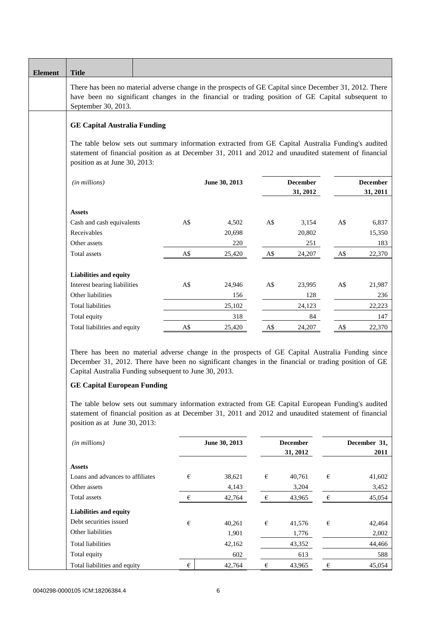| There has been no material adverse change in the prospects of GE Capital since December 31, 2012. There<br>have been no significant changes in the financial or trading position of GE Capital subsequent to<br>September 30, 2013.                                                                                                                                                                           |                             |
|---------------------------------------------------------------------------------------------------------------------------------------------------------------------------------------------------------------------------------------------------------------------------------------------------------------------------------------------------------------------------------------------------------------|-----------------------------|
|                                                                                                                                                                                                                                                                                                                                                                                                               |                             |
| <b>GE Capital Australia Funding</b>                                                                                                                                                                                                                                                                                                                                                                           |                             |
| The table below sets out summary information extracted from GE Capital Australia Funding's audited<br>statement of financial position as at December 31, 2011 and 2012 and unaudited statement of financial<br>position as at June 30, 2013:                                                                                                                                                                  |                             |
| <b>December</b><br>(in millions)<br>June 30, 2013<br>31, 2012                                                                                                                                                                                                                                                                                                                                                 | <b>December</b><br>31, 2011 |
|                                                                                                                                                                                                                                                                                                                                                                                                               |                             |
| <b>Assets</b><br>Cash and cash equivalents<br>A\$<br>4,502<br>A\$<br>3,154<br>A\$                                                                                                                                                                                                                                                                                                                             | 6,837                       |
| Receivables<br>20,698<br>20,802                                                                                                                                                                                                                                                                                                                                                                               | 15,350                      |
| Other assets<br>220<br>251                                                                                                                                                                                                                                                                                                                                                                                    | 183                         |
| A\$<br><b>Total assets</b><br>A\$<br>$A\$$<br>25,420<br>24,207                                                                                                                                                                                                                                                                                                                                                | 22,370                      |
|                                                                                                                                                                                                                                                                                                                                                                                                               |                             |
| Liabilities and equity                                                                                                                                                                                                                                                                                                                                                                                        |                             |
| Interest bearing liabilities<br>A\$<br>A\$<br>24,946<br>23,995<br>A\$                                                                                                                                                                                                                                                                                                                                         | 21,987                      |
| Other liabilities<br>128<br>156                                                                                                                                                                                                                                                                                                                                                                               | 236                         |
| <b>Total liabilities</b><br>25,102<br>24,123                                                                                                                                                                                                                                                                                                                                                                  | 22,223                      |
| Total equity<br>318<br>84<br>A\$<br>Total liabilities and equity<br>25,420<br>A\$<br>24,207<br>A\$                                                                                                                                                                                                                                                                                                            | 147<br>22,370               |
| There has been no material adverse change in the prospects of GE Capital Australia Funding since<br>December 31, 2012. There have been no significant changes in the financial or trading position of GE<br>Capital Australia Funding subsequent to June 30, 2013.<br><b>GE Capital European Funding</b><br>The table below sets out summary information extracted from GE Capital European Funding's audited |                             |
| statement of financial position as at December 31, 2011 and 2012 and unaudited statement of financial<br>position as at June 30, 2013:                                                                                                                                                                                                                                                                        |                             |
| <b>December</b><br>(in millions)<br>June 30, 2013<br>31, 2012                                                                                                                                                                                                                                                                                                                                                 | December 31,<br>2011        |
| <b>Assets</b>                                                                                                                                                                                                                                                                                                                                                                                                 |                             |
| €<br>Loans and advances to affiliates<br>€<br>38,621<br>€<br>40,761                                                                                                                                                                                                                                                                                                                                           | 41,602                      |
| Other assets<br>4,143<br>3,204                                                                                                                                                                                                                                                                                                                                                                                | 3,452                       |
| Total assets<br>€<br>42,764<br>$\in$<br>$\epsilon$<br>43,965                                                                                                                                                                                                                                                                                                                                                  | 45,054                      |
| Liabilities and equity                                                                                                                                                                                                                                                                                                                                                                                        |                             |
| Debt securities issued<br>€<br>€<br>40,261<br>€<br>41,576                                                                                                                                                                                                                                                                                                                                                     | 42,464                      |
| Other liabilities<br>1,901<br>1,776                                                                                                                                                                                                                                                                                                                                                                           | 2,002                       |
| Total liabilities<br>42,162<br>43,352                                                                                                                                                                                                                                                                                                                                                                         | 44,466                      |
| Total equity<br>602<br>613                                                                                                                                                                                                                                                                                                                                                                                    | 588                         |
| €<br>42,764<br>€<br>Total liabilities and equity<br>43,965<br>$\boldsymbol{\epsilon}$                                                                                                                                                                                                                                                                                                                         | 45,054                      |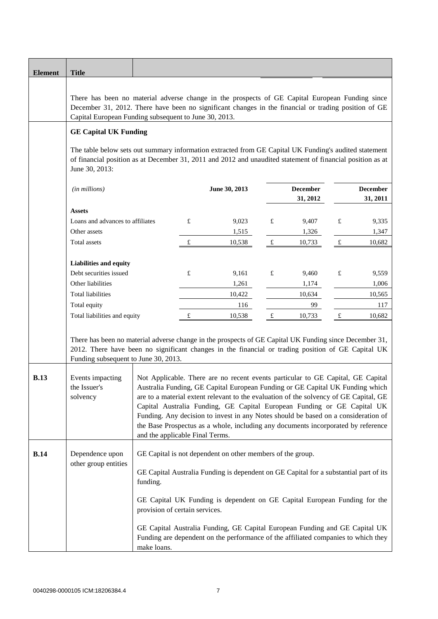| <b>Element</b> | <b>Title</b>                                                                                                                                                                                                                                                     |                                                                                                                                                                                                                                                                                                                                                                                                                                                                                                                                                    |        |                                           |                |                                          |                |                                           |
|----------------|------------------------------------------------------------------------------------------------------------------------------------------------------------------------------------------------------------------------------------------------------------------|----------------------------------------------------------------------------------------------------------------------------------------------------------------------------------------------------------------------------------------------------------------------------------------------------------------------------------------------------------------------------------------------------------------------------------------------------------------------------------------------------------------------------------------------------|--------|-------------------------------------------|----------------|------------------------------------------|----------------|-------------------------------------------|
|                | There has been no material adverse change in the prospects of GE Capital European Funding since<br>December 31, 2012. There have been no significant changes in the financial or trading position of GE<br>Capital European Funding subsequent to June 30, 2013. |                                                                                                                                                                                                                                                                                                                                                                                                                                                                                                                                                    |        |                                           |                |                                          |                |                                           |
|                | <b>GE Capital UK Funding</b>                                                                                                                                                                                                                                     |                                                                                                                                                                                                                                                                                                                                                                                                                                                                                                                                                    |        |                                           |                |                                          |                |                                           |
|                | The table below sets out summary information extracted from GE Capital UK Funding's audited statement<br>of financial position as at December 31, 2011 and 2012 and unaudited statement of financial position as at<br>June 30, 2013:                            |                                                                                                                                                                                                                                                                                                                                                                                                                                                                                                                                                    |        |                                           |                |                                          |                |                                           |
|                | (in millions)                                                                                                                                                                                                                                                    |                                                                                                                                                                                                                                                                                                                                                                                                                                                                                                                                                    |        | June 30, 2013                             |                | <b>December</b><br>31, 2012              |                | <b>December</b><br>31, 2011               |
|                | <b>Assets</b><br>Loans and advances to affiliates<br>Other assets<br>Total assets                                                                                                                                                                                |                                                                                                                                                                                                                                                                                                                                                                                                                                                                                                                                                    | £<br>£ | 9,023<br>1,515<br>10,538                  | £<br>$\pounds$ | 9,407<br>1,326<br>10,733                 | £<br>$\pounds$ | 9,335<br>1,347<br>10,682                  |
|                | <b>Liabilities and equity</b><br>Debt securities issued<br>Other liabilities<br><b>Total liabilities</b><br>Total equity<br>Total liabilities and equity                                                                                                         |                                                                                                                                                                                                                                                                                                                                                                                                                                                                                                                                                    | £<br>£ | 9,161<br>1,261<br>10,422<br>116<br>10,538 | £<br>$\pounds$ | 9,460<br>1,174<br>10,634<br>99<br>10,733 | £<br>$\pounds$ | 9,559<br>1,006<br>10,565<br>117<br>10,682 |
|                | There has been no material adverse change in the prospects of GE Capital UK Funding since December 31,<br>2012. There have been no significant changes in the financial or trading position of GE Capital UK<br>Funding subsequent to June 30, 2013.             |                                                                                                                                                                                                                                                                                                                                                                                                                                                                                                                                                    |        |                                           |                |                                          |                |                                           |
| <b>B.13</b>    | Events impacting<br>the Issuer's<br>solvency                                                                                                                                                                                                                     | Not Applicable. There are no recent events particular to GE Capital, GE Capital<br>Australia Funding, GE Capital European Funding or GE Capital UK Funding which<br>are to a material extent relevant to the evaluation of the solvency of GE Capital, GE<br>Capital Australia Funding, GE Capital European Funding or GE Capital UK<br>Funding. Any decision to invest in any Notes should be based on a consideration of<br>the Base Prospectus as a whole, including any documents incorporated by reference<br>and the applicable Final Terms. |        |                                           |                |                                          |                |                                           |
| <b>B.14</b>    | Dependence upon<br>other group entities                                                                                                                                                                                                                          | GE Capital is not dependent on other members of the group.<br>GE Capital Australia Funding is dependent on GE Capital for a substantial part of its<br>funding.                                                                                                                                                                                                                                                                                                                                                                                    |        |                                           |                |                                          |                |                                           |
|                |                                                                                                                                                                                                                                                                  | GE Capital UK Funding is dependent on GE Capital European Funding for the<br>provision of certain services.<br>GE Capital Australia Funding, GE Capital European Funding and GE Capital UK<br>Funding are dependent on the performance of the affiliated companies to which they<br>make loans.                                                                                                                                                                                                                                                    |        |                                           |                |                                          |                |                                           |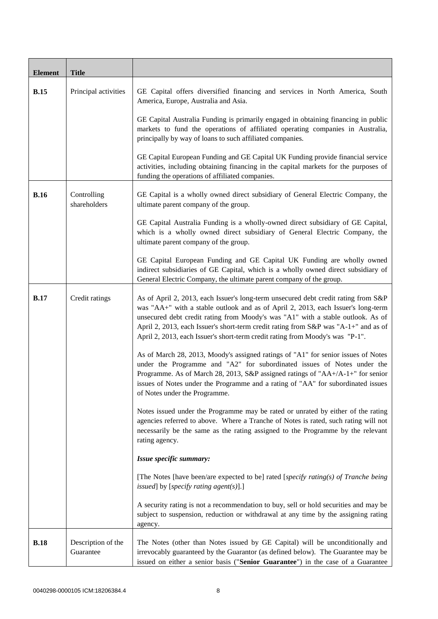| <b>Element</b> | <b>Title</b>                    |                                                                                                                                                                                                                                                                                                                                                                                                                                   |
|----------------|---------------------------------|-----------------------------------------------------------------------------------------------------------------------------------------------------------------------------------------------------------------------------------------------------------------------------------------------------------------------------------------------------------------------------------------------------------------------------------|
| <b>B.15</b>    | Principal activities            | GE Capital offers diversified financing and services in North America, South<br>America, Europe, Australia and Asia.                                                                                                                                                                                                                                                                                                              |
|                |                                 | GE Capital Australia Funding is primarily engaged in obtaining financing in public<br>markets to fund the operations of affiliated operating companies in Australia,<br>principally by way of loans to such affiliated companies.                                                                                                                                                                                                 |
|                |                                 | GE Capital European Funding and GE Capital UK Funding provide financial service<br>activities, including obtaining financing in the capital markets for the purposes of<br>funding the operations of affiliated companies.                                                                                                                                                                                                        |
| <b>B.16</b>    | Controlling<br>shareholders     | GE Capital is a wholly owned direct subsidiary of General Electric Company, the<br>ultimate parent company of the group.                                                                                                                                                                                                                                                                                                          |
|                |                                 | GE Capital Australia Funding is a wholly-owned direct subsidiary of GE Capital,<br>which is a wholly owned direct subsidiary of General Electric Company, the<br>ultimate parent company of the group.                                                                                                                                                                                                                            |
|                |                                 | GE Capital European Funding and GE Capital UK Funding are wholly owned<br>indirect subsidiaries of GE Capital, which is a wholly owned direct subsidiary of<br>General Electric Company, the ultimate parent company of the group.                                                                                                                                                                                                |
| <b>B.17</b>    | Credit ratings                  | As of April 2, 2013, each Issuer's long-term unsecured debt credit rating from S&P<br>was "AA+" with a stable outlook and as of April 2, 2013, each Issuer's long-term<br>unsecured debt credit rating from Moody's was "A1" with a stable outlook. As of<br>April 2, 2013, each Issuer's short-term credit rating from S&P was "A-1+" and as of<br>April 2, 2013, each Issuer's short-term credit rating from Moody's was "P-1". |
|                |                                 | As of March 28, 2013, Moody's assigned ratings of "A1" for senior issues of Notes<br>under the Programme and "A2" for subordinated issues of Notes under the<br>Programme. As of March 28, 2013, S&P assigned ratings of "AA+/A-1+" for senior<br>issues of Notes under the Programme and a rating of "AA" for subordinated issues<br>of Notes under the Programme.                                                               |
|                |                                 | Notes issued under the Programme may be rated or unrated by either of the rating<br>agencies referred to above. Where a Tranche of Notes is rated, such rating will not<br>necessarily be the same as the rating assigned to the Programme by the relevant<br>rating agency.                                                                                                                                                      |
|                |                                 | Issue specific summary:                                                                                                                                                                                                                                                                                                                                                                                                           |
|                |                                 | [The Notes [have been/are expected to be] rated [specify rating(s) of Tranche being<br>issued] by [specify rating agent(s)].]                                                                                                                                                                                                                                                                                                     |
|                |                                 | A security rating is not a recommendation to buy, sell or hold securities and may be<br>subject to suspension, reduction or withdrawal at any time by the assigning rating<br>agency.                                                                                                                                                                                                                                             |
| <b>B.18</b>    | Description of the<br>Guarantee | The Notes (other than Notes issued by GE Capital) will be unconditionally and<br>irrevocably guaranteed by the Guarantor (as defined below). The Guarantee may be<br>issued on either a senior basis ("Senior Guarantee") in the case of a Guarantee                                                                                                                                                                              |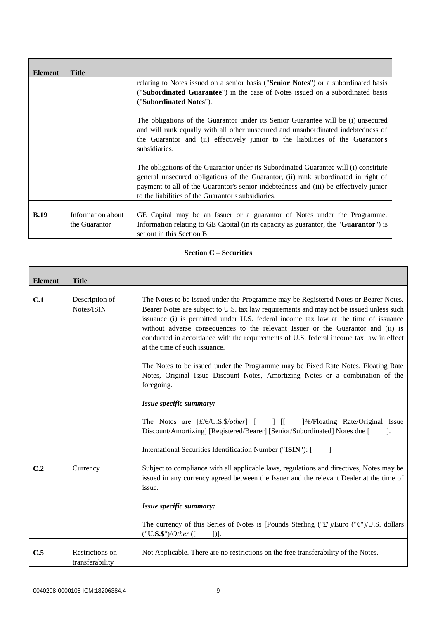| <b>Element</b> | <b>Title</b>                       |                                                                                                                                                                                                                                                                                                                             |
|----------------|------------------------------------|-----------------------------------------------------------------------------------------------------------------------------------------------------------------------------------------------------------------------------------------------------------------------------------------------------------------------------|
|                |                                    | relating to Notes issued on a senior basis ("Senior Notes") or a subordinated basis<br>(" <b>Subordinated Guarantee</b> ") in the case of Notes issued on a subordinated basis<br>("Subordinated Notes").                                                                                                                   |
|                |                                    | The obligations of the Guarantor under its Senior Guarantee will be (i) unsecured<br>and will rank equally with all other unsecured and unsubordinated indebtedness of<br>the Guarantor and (ii) effectively junior to the liabilities of the Guarantor's<br>subsidiaries.                                                  |
|                |                                    | The obligations of the Guarantor under its Subordinated Guarantee will (i) constitute<br>general unsecured obligations of the Guarantor, (ii) rank subordinated in right of<br>payment to all of the Guarantor's senior indebtedness and (iii) be effectively junior<br>to the liabilities of the Guarantor's subsidiaries. |
| B.19           | Information about<br>the Guarantor | GE Capital may be an Issuer or a guarantor of Notes under the Programme.<br>Information relating to GE Capital (in its capacity as guarantor, the " <b>Guarantor</b> ") is<br>set out in this Section B.                                                                                                                    |

## **Section C – Securities**

 $\overline{1}$ 

| <b>Element</b> | <b>Title</b>                       |                                                                                                                                                                                                                                                                                                                                                                                                                                                                                                                                                                                                                                                                                                                                                                                                                                                                         |
|----------------|------------------------------------|-------------------------------------------------------------------------------------------------------------------------------------------------------------------------------------------------------------------------------------------------------------------------------------------------------------------------------------------------------------------------------------------------------------------------------------------------------------------------------------------------------------------------------------------------------------------------------------------------------------------------------------------------------------------------------------------------------------------------------------------------------------------------------------------------------------------------------------------------------------------------|
| C.1            | Description of<br>Notes/ISIN       | The Notes to be issued under the Programme may be Registered Notes or Bearer Notes.<br>Bearer Notes are subject to U.S. tax law requirements and may not be issued unless such<br>issuance (i) is permitted under U.S. federal income tax law at the time of issuance<br>without adverse consequences to the relevant Issuer or the Guarantor and (ii) is<br>conducted in accordance with the requirements of U.S. federal income tax law in effect<br>at the time of such issuance.<br>The Notes to be issued under the Programme may be Fixed Rate Notes, Floating Rate<br>Notes, Original Issue Discount Notes, Amortizing Notes or a combination of the<br>foregoing.<br>Issue specific summary:<br>The Notes are $[f/E/U.S. \$/other]$ [ ] [ ]%/Floating Rate/Original Issue<br>Discount/Amortizing] [Registered/Bearer] [Senior/Subordinated] Notes due [<br>- 1. |
|                |                                    | International Securities Identification Number ("ISIN"): [                                                                                                                                                                                                                                                                                                                                                                                                                                                                                                                                                                                                                                                                                                                                                                                                              |
| C.2            | Currency                           | Subject to compliance with all applicable laws, regulations and directives, Notes may be<br>issued in any currency agreed between the Issuer and the relevant Dealer at the time of<br>issue.                                                                                                                                                                                                                                                                                                                                                                                                                                                                                                                                                                                                                                                                           |
|                |                                    | Issue specific summary:                                                                                                                                                                                                                                                                                                                                                                                                                                                                                                                                                                                                                                                                                                                                                                                                                                                 |
|                |                                    | The currency of this Series of Notes is [Pounds Sterling (" $\mathbf{\hat{x}}$ ")/Euro (" $\mathbf{\hat{y}}$ ")/U.S. dollars<br>("U.S.\$")/Other ([<br>$]$ ].                                                                                                                                                                                                                                                                                                                                                                                                                                                                                                                                                                                                                                                                                                           |
| C.5            | Restrictions on<br>transferability | Not Applicable. There are no restrictions on the free transferability of the Notes.                                                                                                                                                                                                                                                                                                                                                                                                                                                                                                                                                                                                                                                                                                                                                                                     |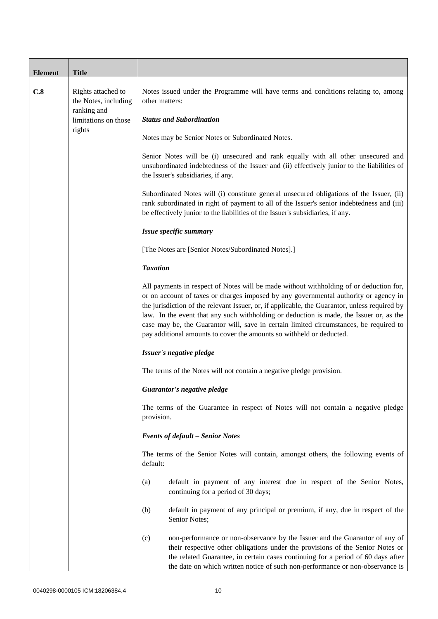| <b>Element</b> | <b>Title</b>                                              |                                                                                                                                                                                                                                                                                                                                                                                                                                                                                                                                              |
|----------------|-----------------------------------------------------------|----------------------------------------------------------------------------------------------------------------------------------------------------------------------------------------------------------------------------------------------------------------------------------------------------------------------------------------------------------------------------------------------------------------------------------------------------------------------------------------------------------------------------------------------|
| C.8            | Rights attached to<br>the Notes, including<br>ranking and | Notes issued under the Programme will have terms and conditions relating to, among<br>other matters:                                                                                                                                                                                                                                                                                                                                                                                                                                         |
|                | limitations on those<br>rights                            | <b>Status and Subordination</b>                                                                                                                                                                                                                                                                                                                                                                                                                                                                                                              |
|                |                                                           | Notes may be Senior Notes or Subordinated Notes.                                                                                                                                                                                                                                                                                                                                                                                                                                                                                             |
|                |                                                           | Senior Notes will be (i) unsecured and rank equally with all other unsecured and<br>unsubordinated indebtedness of the Issuer and (ii) effectively junior to the liabilities of<br>the Issuer's subsidiaries, if any.                                                                                                                                                                                                                                                                                                                        |
|                |                                                           | Subordinated Notes will (i) constitute general unsecured obligations of the Issuer, (ii)<br>rank subordinated in right of payment to all of the Issuer's senior indebtedness and (iii)<br>be effectively junior to the liabilities of the Issuer's subsidiaries, if any.                                                                                                                                                                                                                                                                     |
|                |                                                           | Issue specific summary                                                                                                                                                                                                                                                                                                                                                                                                                                                                                                                       |
|                |                                                           | [The Notes are [Senior Notes/Subordinated Notes].]                                                                                                                                                                                                                                                                                                                                                                                                                                                                                           |
|                |                                                           | <b>Taxation</b>                                                                                                                                                                                                                                                                                                                                                                                                                                                                                                                              |
|                |                                                           | All payments in respect of Notes will be made without withholding of or deduction for,<br>or on account of taxes or charges imposed by any governmental authority or agency in<br>the jurisdiction of the relevant Issuer, or, if applicable, the Guarantor, unless required by<br>law. In the event that any such withholding or deduction is made, the Issuer or, as the<br>case may be, the Guarantor will, save in certain limited circumstances, be required to<br>pay additional amounts to cover the amounts so withheld or deducted. |
|                |                                                           | Issuer's negative pledge                                                                                                                                                                                                                                                                                                                                                                                                                                                                                                                     |
|                |                                                           | The terms of the Notes will not contain a negative pledge provision.                                                                                                                                                                                                                                                                                                                                                                                                                                                                         |
|                |                                                           | Guarantor's negative pledge                                                                                                                                                                                                                                                                                                                                                                                                                                                                                                                  |
|                |                                                           | The terms of the Guarantee in respect of Notes will not contain a negative pledge<br>provision.                                                                                                                                                                                                                                                                                                                                                                                                                                              |
|                |                                                           | <b>Events of default - Senior Notes</b>                                                                                                                                                                                                                                                                                                                                                                                                                                                                                                      |
|                |                                                           | The terms of the Senior Notes will contain, amongst others, the following events of<br>default:                                                                                                                                                                                                                                                                                                                                                                                                                                              |
|                |                                                           | default in payment of any interest due in respect of the Senior Notes,<br>(a)<br>continuing for a period of 30 days;                                                                                                                                                                                                                                                                                                                                                                                                                         |
|                |                                                           | (b)<br>default in payment of any principal or premium, if any, due in respect of the<br>Senior Notes;                                                                                                                                                                                                                                                                                                                                                                                                                                        |
|                |                                                           | non-performance or non-observance by the Issuer and the Guarantor of any of<br>(c)<br>their respective other obligations under the provisions of the Senior Notes or<br>the related Guarantee, in certain cases continuing for a period of 60 days after<br>the date on which written notice of such non-performance or non-observance is                                                                                                                                                                                                    |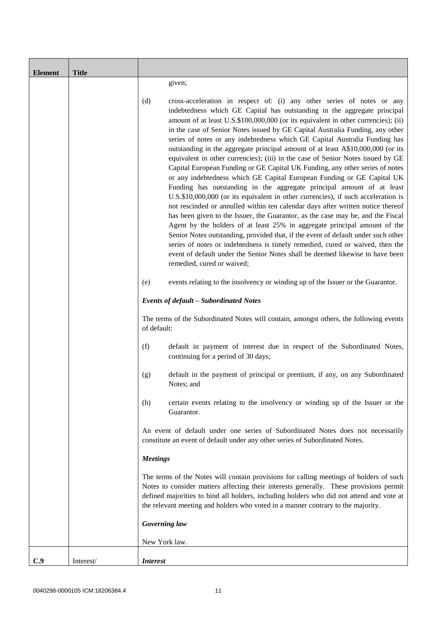| <b>Element</b> | <b>Title</b> |                                                                                                                                                                                                                                                                                                                                                                                                                                                                                                                                                                                                                                                                                                                                                                                                                                                                                                                                                                                                                                                                                                                                                                                                                                                                                                                                                                                                                                                      |
|----------------|--------------|------------------------------------------------------------------------------------------------------------------------------------------------------------------------------------------------------------------------------------------------------------------------------------------------------------------------------------------------------------------------------------------------------------------------------------------------------------------------------------------------------------------------------------------------------------------------------------------------------------------------------------------------------------------------------------------------------------------------------------------------------------------------------------------------------------------------------------------------------------------------------------------------------------------------------------------------------------------------------------------------------------------------------------------------------------------------------------------------------------------------------------------------------------------------------------------------------------------------------------------------------------------------------------------------------------------------------------------------------------------------------------------------------------------------------------------------------|
|                |              | given;                                                                                                                                                                                                                                                                                                                                                                                                                                                                                                                                                                                                                                                                                                                                                                                                                                                                                                                                                                                                                                                                                                                                                                                                                                                                                                                                                                                                                                               |
|                |              | (d)<br>cross-acceleration in respect of: (i) any other series of notes or any<br>indebtedness which GE Capital has outstanding in the aggregate principal<br>amount of at least U.S.\$100,000,000 (or its equivalent in other currencies); (ii)<br>in the case of Senior Notes issued by GE Capital Australia Funding, any other<br>series of notes or any indebtedness which GE Capital Australia Funding has<br>outstanding in the aggregate principal amount of at least A\$10,000,000 (or its<br>equivalent in other currencies); (iii) in the case of Senior Notes issued by GE<br>Capital European Funding or GE Capital UK Funding, any other series of notes<br>or any indebtedness which GE Capital European Funding or GE Capital UK<br>Funding has outstanding in the aggregate principal amount of at least<br>U.S.\$10,000,000 (or its equivalent in other currencies), if such acceleration is<br>not rescinded or annulled within ten calendar days after written notice thereof<br>has been given to the Issuer, the Guarantor, as the case may be, and the Fiscal<br>Agent by the holders of at least 25% in aggregate principal amount of the<br>Senior Notes outstanding, provided that, if the event of default under such other<br>series of notes or indebtedness is timely remedied, cured or waived, then the<br>event of default under the Senior Notes shall be deemed likewise to have been<br>remedied, cured or waived; |
|                |              | (e)<br>events relating to the insolvency or winding up of the Issuer or the Guarantor.                                                                                                                                                                                                                                                                                                                                                                                                                                                                                                                                                                                                                                                                                                                                                                                                                                                                                                                                                                                                                                                                                                                                                                                                                                                                                                                                                               |
|                |              | <b>Events of default - Subordinated Notes</b>                                                                                                                                                                                                                                                                                                                                                                                                                                                                                                                                                                                                                                                                                                                                                                                                                                                                                                                                                                                                                                                                                                                                                                                                                                                                                                                                                                                                        |
|                |              | The terms of the Subordinated Notes will contain, amongst others, the following events<br>of default:                                                                                                                                                                                                                                                                                                                                                                                                                                                                                                                                                                                                                                                                                                                                                                                                                                                                                                                                                                                                                                                                                                                                                                                                                                                                                                                                                |
|                |              | (f)<br>default in payment of interest due in respect of the Subordinated Notes,<br>continuing for a period of 30 days;                                                                                                                                                                                                                                                                                                                                                                                                                                                                                                                                                                                                                                                                                                                                                                                                                                                                                                                                                                                                                                                                                                                                                                                                                                                                                                                               |
|                |              | default in the payment of principal or premium, if any, on any Subordinated<br>(g)<br>Notes; and                                                                                                                                                                                                                                                                                                                                                                                                                                                                                                                                                                                                                                                                                                                                                                                                                                                                                                                                                                                                                                                                                                                                                                                                                                                                                                                                                     |
|                |              | certain events relating to the insolvency or winding up of the Issuer or the<br>(h)<br>Guarantor.                                                                                                                                                                                                                                                                                                                                                                                                                                                                                                                                                                                                                                                                                                                                                                                                                                                                                                                                                                                                                                                                                                                                                                                                                                                                                                                                                    |
|                |              | An event of default under one series of Subordinated Notes does not necessarily<br>constitute an event of default under any other series of Subordinated Notes.                                                                                                                                                                                                                                                                                                                                                                                                                                                                                                                                                                                                                                                                                                                                                                                                                                                                                                                                                                                                                                                                                                                                                                                                                                                                                      |
|                |              | <b>Meetings</b>                                                                                                                                                                                                                                                                                                                                                                                                                                                                                                                                                                                                                                                                                                                                                                                                                                                                                                                                                                                                                                                                                                                                                                                                                                                                                                                                                                                                                                      |
|                |              | The terms of the Notes will contain provisions for calling meetings of holders of such<br>Notes to consider matters affecting their interests generally. These provisions permit<br>defined majorities to bind all holders, including holders who did not attend and vote at<br>the relevant meeting and holders who voted in a manner contrary to the majority.                                                                                                                                                                                                                                                                                                                                                                                                                                                                                                                                                                                                                                                                                                                                                                                                                                                                                                                                                                                                                                                                                     |
|                |              | Governing law                                                                                                                                                                                                                                                                                                                                                                                                                                                                                                                                                                                                                                                                                                                                                                                                                                                                                                                                                                                                                                                                                                                                                                                                                                                                                                                                                                                                                                        |
|                |              | New York law.                                                                                                                                                                                                                                                                                                                                                                                                                                                                                                                                                                                                                                                                                                                                                                                                                                                                                                                                                                                                                                                                                                                                                                                                                                                                                                                                                                                                                                        |
| C.9            | Interest/    | <b>Interest</b>                                                                                                                                                                                                                                                                                                                                                                                                                                                                                                                                                                                                                                                                                                                                                                                                                                                                                                                                                                                                                                                                                                                                                                                                                                                                                                                                                                                                                                      |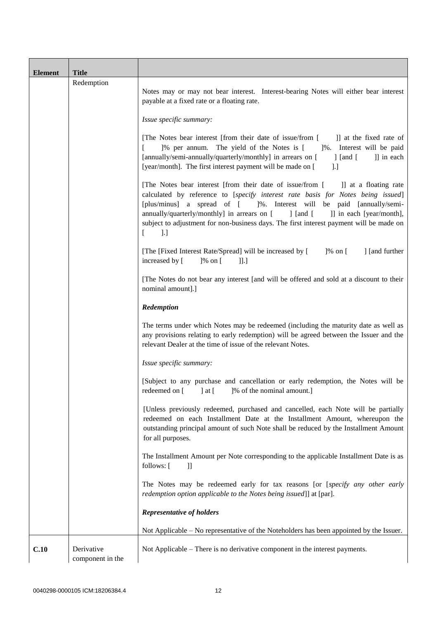| <b>Element</b> | <b>Title</b>                   |                                                                                                                                                                                                                                                                                                                                                                                                                                                                 |  |
|----------------|--------------------------------|-----------------------------------------------------------------------------------------------------------------------------------------------------------------------------------------------------------------------------------------------------------------------------------------------------------------------------------------------------------------------------------------------------------------------------------------------------------------|--|
|                | Redemption                     |                                                                                                                                                                                                                                                                                                                                                                                                                                                                 |  |
|                |                                | Notes may or may not bear interest. Interest-bearing Notes will either bear interest<br>payable at a fixed rate or a floating rate.                                                                                                                                                                                                                                                                                                                             |  |
|                |                                | Issue specific summary:                                                                                                                                                                                                                                                                                                                                                                                                                                         |  |
|                |                                | [The Notes bear interest [from their date of issue/from [<br>]] at the fixed rate of<br>]% per annum. The yield of the Notes is [<br>1%. Interest will be paid<br>L<br>[annually/semi-annually/quarterly/monthly] in arrears on [<br>] [and [<br>]] in each<br>[year/month]. The first interest payment will be made on [<br>$\lbrack . \rbrack$                                                                                                                |  |
|                |                                | [The Notes bear interest [from their date of issue/from [ ]] at a floating rate<br>calculated by reference to [specify interest rate basis for Notes being issued]<br>[plus/minus] a spread of [ ]%. Interest will be paid [annually/semi-<br>annually/quarterly/monthly] in arrears on [<br>$\int$ [and [<br>]] in each [year/month],<br>subject to adjustment for non-business days. The first interest payment will be made on<br>$\Box$<br>$\left[ \right]$ |  |
|                |                                | [The [Fixed Interest Rate/Spread] will be increased by [ ]% on [<br>] [and further<br>increased by [<br>$]$ % on [<br>]].]                                                                                                                                                                                                                                                                                                                                      |  |
|                |                                | [The Notes do not bear any interest [and will be offered and sold at a discount to their<br>nominal amount].]                                                                                                                                                                                                                                                                                                                                                   |  |
|                |                                | Redemption                                                                                                                                                                                                                                                                                                                                                                                                                                                      |  |
|                |                                | The terms under which Notes may be redeemed (including the maturity date as well as<br>any provisions relating to early redemption) will be agreed between the Issuer and the<br>relevant Dealer at the time of issue of the relevant Notes.                                                                                                                                                                                                                    |  |
|                |                                | Issue specific summary:                                                                                                                                                                                                                                                                                                                                                                                                                                         |  |
|                |                                | [Subject to any purchase and cancellation or early redemption, the Notes will be<br>redeemed on [<br>$]$ at $[$<br>[% of the nominal amount.]                                                                                                                                                                                                                                                                                                                   |  |
|                |                                | [Unless previously redeemed, purchased and cancelled, each Note will be partially<br>redeemed on each Installment Date at the Installment Amount, whereupon the<br>outstanding principal amount of such Note shall be reduced by the Installment Amount<br>for all purposes.                                                                                                                                                                                    |  |
|                |                                | The Installment Amount per Note corresponding to the applicable Installment Date is as<br>follows: [<br>$\mathbf{ll}$                                                                                                                                                                                                                                                                                                                                           |  |
|                |                                | The Notes may be redeemed early for tax reasons [or [specify any other early<br>redemption option applicable to the Notes being issued]] at [par].                                                                                                                                                                                                                                                                                                              |  |
|                |                                | <b>Representative of holders</b>                                                                                                                                                                                                                                                                                                                                                                                                                                |  |
|                |                                | Not Applicable – No representative of the Noteholders has been appointed by the Issuer.                                                                                                                                                                                                                                                                                                                                                                         |  |
| C.10           | Derivative<br>component in the | Not Applicable – There is no derivative component in the interest payments.                                                                                                                                                                                                                                                                                                                                                                                     |  |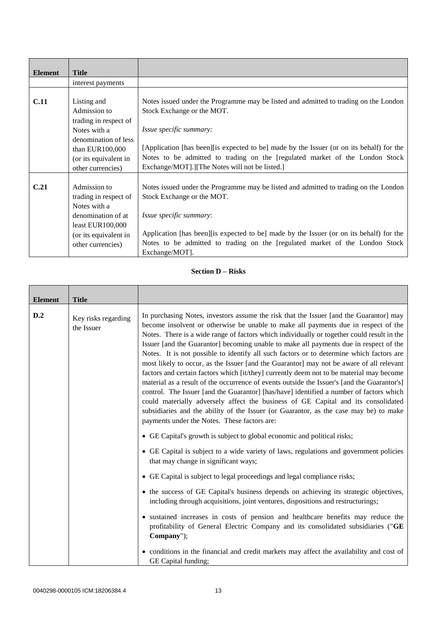| <b>Element</b> | <b>Title</b>          |                                                                                           |
|----------------|-----------------------|-------------------------------------------------------------------------------------------|
|                | interest payments     |                                                                                           |
|                |                       |                                                                                           |
| <b>C.11</b>    | Listing and           | Notes issued under the Programme may be listed and admitted to trading on the London      |
|                | Admission to          | Stock Exchange or the MOT.                                                                |
|                | trading in respect of |                                                                                           |
|                | Notes with a          | Issue specific summary:                                                                   |
|                | denomination of less  |                                                                                           |
|                | than EUR100,000       | [Application [has been] [is expected to be] made by the Issuer (or on its behalf) for the |
|                | (or its equivalent in | Notes to be admitted to trading on the [regulated market of the London Stock              |
|                | other currencies)     | Exchange/MOT].][The Notes will not be listed.]                                            |
|                |                       |                                                                                           |
| C.21           | Admission to          | Notes issued under the Programme may be listed and admitted to trading on the London      |
|                | trading in respect of | Stock Exchange or the MOT.                                                                |
|                | Notes with a          |                                                                                           |
|                | denomination of at    | Issue specific summary:                                                                   |
|                | least $EUR100,000$    |                                                                                           |
|                | (or its equivalent in | Application [has been] [is expected to be] made by the Issuer (or on its behalf) for the  |
|                | other currencies)     | Notes to be admitted to trading on the [regulated market of the London Stock              |
|                |                       | Exchange/MOT].                                                                            |

## **Section D – Risks**

| <b>Element</b> | <b>Title</b>                      |                                                                                                                                                                                                                                                                                                                                                                                                                                                                                                                                                                                                                                                                                                                                                                                                                                                                                                                                                                                                                                                                                 |
|----------------|-----------------------------------|---------------------------------------------------------------------------------------------------------------------------------------------------------------------------------------------------------------------------------------------------------------------------------------------------------------------------------------------------------------------------------------------------------------------------------------------------------------------------------------------------------------------------------------------------------------------------------------------------------------------------------------------------------------------------------------------------------------------------------------------------------------------------------------------------------------------------------------------------------------------------------------------------------------------------------------------------------------------------------------------------------------------------------------------------------------------------------|
| D.2            | Key risks regarding<br>the Issuer | In purchasing Notes, investors assume the risk that the Issuer [and the Guarantor] may<br>become insolvent or otherwise be unable to make all payments due in respect of the<br>Notes. There is a wide range of factors which individually or together could result in the<br>Issuer [and the Guarantor] becoming unable to make all payments due in respect of the<br>Notes. It is not possible to identify all such factors or to determine which factors are<br>most likely to occur, as the Issuer [and the Guarantor] may not be aware of all relevant<br>factors and certain factors which [it/they] currently deem not to be material may become<br>material as a result of the occurrence of events outside the Issuer's [and the Guarantor's]<br>control. The Issuer [and the Guarantor] [has/have] identified a number of factors which<br>could materially adversely affect the business of GE Capital and its consolidated<br>subsidiaries and the ability of the Issuer (or Guarantor, as the case may be) to make<br>payments under the Notes. These factors are: |
|                |                                   | • GE Capital's growth is subject to global economic and political risks;<br>• GE Capital is subject to a wide variety of laws, regulations and government policies<br>that may change in significant ways;<br>• GE Capital is subject to legal proceedings and legal compliance risks;<br>• the success of GE Capital's business depends on achieving its strategic objectives,<br>including through acquisitions, joint ventures, dispositions and restructurings;<br>• sustained increases in costs of pension and healthcare benefits may reduce the<br>profitability of General Electric Company and its consolidated subsidiaries ("GE<br>Company");<br>• conditions in the financial and credit markets may affect the availability and cost of<br>GE Capital funding;                                                                                                                                                                                                                                                                                                    |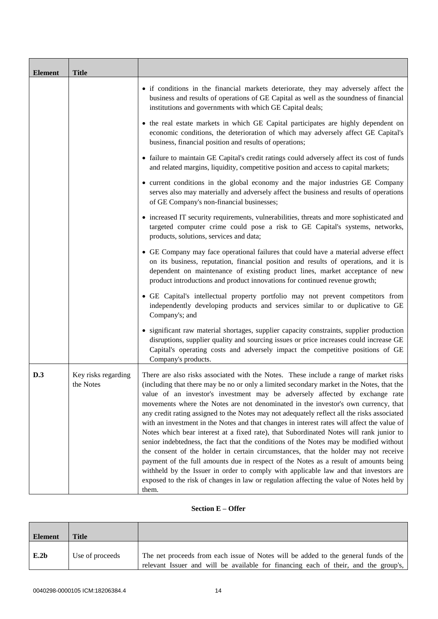| <b>Element</b> | <b>Title</b>                     |                                                                                                                                                                                                                                                                                                                                                                                                                                                                                                                                                                                                                                                                                                                                                                                                                                                                                                                                                                                                                                                                                                                         |
|----------------|----------------------------------|-------------------------------------------------------------------------------------------------------------------------------------------------------------------------------------------------------------------------------------------------------------------------------------------------------------------------------------------------------------------------------------------------------------------------------------------------------------------------------------------------------------------------------------------------------------------------------------------------------------------------------------------------------------------------------------------------------------------------------------------------------------------------------------------------------------------------------------------------------------------------------------------------------------------------------------------------------------------------------------------------------------------------------------------------------------------------------------------------------------------------|
|                |                                  | • if conditions in the financial markets deteriorate, they may adversely affect the<br>business and results of operations of GE Capital as well as the soundness of financial<br>institutions and governments with which GE Capital deals;                                                                                                                                                                                                                                                                                                                                                                                                                                                                                                                                                                                                                                                                                                                                                                                                                                                                              |
|                |                                  | • the real estate markets in which GE Capital participates are highly dependent on<br>economic conditions, the deterioration of which may adversely affect GE Capital's<br>business, financial position and results of operations;                                                                                                                                                                                                                                                                                                                                                                                                                                                                                                                                                                                                                                                                                                                                                                                                                                                                                      |
|                |                                  | • failure to maintain GE Capital's credit ratings could adversely affect its cost of funds<br>and related margins, liquidity, competitive position and access to capital markets;                                                                                                                                                                                                                                                                                                                                                                                                                                                                                                                                                                                                                                                                                                                                                                                                                                                                                                                                       |
|                |                                  | • current conditions in the global economy and the major industries GE Company<br>serves also may materially and adversely affect the business and results of operations<br>of GE Company's non-financial businesses;                                                                                                                                                                                                                                                                                                                                                                                                                                                                                                                                                                                                                                                                                                                                                                                                                                                                                                   |
|                |                                  | • increased IT security requirements, vulnerabilities, threats and more sophisticated and<br>targeted computer crime could pose a risk to GE Capital's systems, networks,<br>products, solutions, services and data;                                                                                                                                                                                                                                                                                                                                                                                                                                                                                                                                                                                                                                                                                                                                                                                                                                                                                                    |
|                |                                  | • GE Company may face operational failures that could have a material adverse effect<br>on its business, reputation, financial position and results of operations, and it is<br>dependent on maintenance of existing product lines, market acceptance of new<br>product introductions and product innovations for continued revenue growth;                                                                                                                                                                                                                                                                                                                                                                                                                                                                                                                                                                                                                                                                                                                                                                             |
|                |                                  | • GE Capital's intellectual property portfolio may not prevent competitors from<br>independently developing products and services similar to or duplicative to GE<br>Company's; and                                                                                                                                                                                                                                                                                                                                                                                                                                                                                                                                                                                                                                                                                                                                                                                                                                                                                                                                     |
|                |                                  | • significant raw material shortages, supplier capacity constraints, supplier production<br>disruptions, supplier quality and sourcing issues or price increases could increase GE<br>Capital's operating costs and adversely impact the competitive positions of GE<br>Company's products.                                                                                                                                                                                                                                                                                                                                                                                                                                                                                                                                                                                                                                                                                                                                                                                                                             |
| D.3            | Key risks regarding<br>the Notes | There are also risks associated with the Notes. These include a range of market risks<br>(including that there may be no or only a limited secondary market in the Notes, that the<br>value of an investor's investment may be adversely affected by exchange rate<br>movements where the Notes are not denominated in the investor's own currency, that<br>any credit rating assigned to the Notes may not adequately reflect all the risks associated<br>with an investment in the Notes and that changes in interest rates will affect the value of<br>Notes which bear interest at a fixed rate), that Subordinated Notes will rank junior to<br>senior indebtedness, the fact that the conditions of the Notes may be modified without<br>the consent of the holder in certain circumstances, that the holder may not receive<br>payment of the full amounts due in respect of the Notes as a result of amounts being<br>withheld by the Issuer in order to comply with applicable law and that investors are<br>exposed to the risk of changes in law or regulation affecting the value of Notes held by<br>them. |

## **Section E – Offer**

| Element | Title           |                                                                                                                                                                            |
|---------|-----------------|----------------------------------------------------------------------------------------------------------------------------------------------------------------------------|
| E.2b    | Use of proceeds | The net proceeds from each issue of Notes will be added to the general funds of the<br>relevant Issuer and will be available for financing each of their, and the group's, |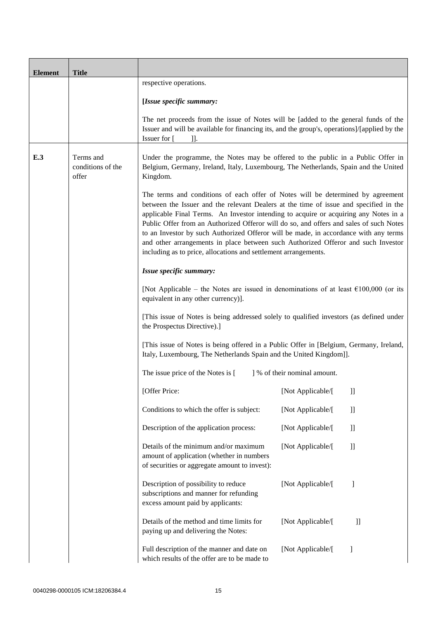| <b>Element</b> | <b>Title</b>                            |                                                                                                                                                                                                                                                                                                                                                                                                                                                                                                                                                                                                            |                              |                                             |
|----------------|-----------------------------------------|------------------------------------------------------------------------------------------------------------------------------------------------------------------------------------------------------------------------------------------------------------------------------------------------------------------------------------------------------------------------------------------------------------------------------------------------------------------------------------------------------------------------------------------------------------------------------------------------------------|------------------------------|---------------------------------------------|
|                |                                         | respective operations.                                                                                                                                                                                                                                                                                                                                                                                                                                                                                                                                                                                     |                              |                                             |
|                |                                         | [Issue specific summary:                                                                                                                                                                                                                                                                                                                                                                                                                                                                                                                                                                                   |                              |                                             |
|                |                                         | The net proceeds from the issue of Notes will be [added to the general funds of the<br>Issuer and will be available for financing its, and the group's, operations]/[applied by the<br>Issuer for [                                                                                                                                                                                                                                                                                                                                                                                                        |                              |                                             |
| E.3            | Terms and<br>conditions of the<br>offer | Under the programme, the Notes may be offered to the public in a Public Offer in<br>Belgium, Germany, Ireland, Italy, Luxembourg, The Netherlands, Spain and the United<br>Kingdom.                                                                                                                                                                                                                                                                                                                                                                                                                        |                              |                                             |
|                |                                         | The terms and conditions of each offer of Notes will be determined by agreement<br>between the Issuer and the relevant Dealers at the time of issue and specified in the<br>applicable Final Terms. An Investor intending to acquire or acquiring any Notes in a<br>Public Offer from an Authorized Offeror will do so, and offers and sales of such Notes<br>to an Investor by such Authorized Offeror will be made, in accordance with any terms<br>and other arrangements in place between such Authorized Offeror and such Investor<br>including as to price, allocations and settlement arrangements. |                              |                                             |
|                |                                         | Issue specific summary:                                                                                                                                                                                                                                                                                                                                                                                                                                                                                                                                                                                    |                              |                                             |
|                |                                         | [Not Applicable – the Notes are issued in denominations of at least $\epsilon$ 100,000 (or its<br>equivalent in any other currency)].                                                                                                                                                                                                                                                                                                                                                                                                                                                                      |                              |                                             |
|                |                                         | [This issue of Notes is being addressed solely to qualified investors (as defined under<br>the Prospectus Directive).]                                                                                                                                                                                                                                                                                                                                                                                                                                                                                     |                              |                                             |
|                |                                         | [This issue of Notes is being offered in a Public Offer in [Belgium, Germany, Ireland,<br>Italy, Luxembourg, The Netherlands Spain and the United Kingdom]].                                                                                                                                                                                                                                                                                                                                                                                                                                               |                              |                                             |
|                |                                         | The issue price of the Notes is [                                                                                                                                                                                                                                                                                                                                                                                                                                                                                                                                                                          | ] % of their nominal amount. |                                             |
|                |                                         | [Offer Price:                                                                                                                                                                                                                                                                                                                                                                                                                                                                                                                                                                                              | [Not Applicable/[            | $\left. \right] \,$                         |
|                |                                         | Conditions to which the offer is subject:                                                                                                                                                                                                                                                                                                                                                                                                                                                                                                                                                                  | [Not Applicable/[            | $\left. \right] \,$                         |
|                |                                         | Description of the application process:                                                                                                                                                                                                                                                                                                                                                                                                                                                                                                                                                                    | [Not Applicable/[            | $\mathbf{I}$                                |
|                |                                         | Details of the minimum and/or maximum<br>amount of application (whether in numbers<br>of securities or aggregate amount to invest):                                                                                                                                                                                                                                                                                                                                                                                                                                                                        | [Not Applicable/[            | $\left.\begin{array}{c} \end{array}\right]$ |
|                |                                         | Description of possibility to reduce<br>subscriptions and manner for refunding<br>excess amount paid by applicants:                                                                                                                                                                                                                                                                                                                                                                                                                                                                                        | [Not Applicable/[            | 1                                           |
|                |                                         | Details of the method and time limits for<br>paying up and delivering the Notes:                                                                                                                                                                                                                                                                                                                                                                                                                                                                                                                           | [Not Applicable/[            | $\mathbf{ll}$                               |
|                |                                         | Full description of the manner and date on<br>which results of the offer are to be made to                                                                                                                                                                                                                                                                                                                                                                                                                                                                                                                 | [Not Applicable/[            | 1                                           |